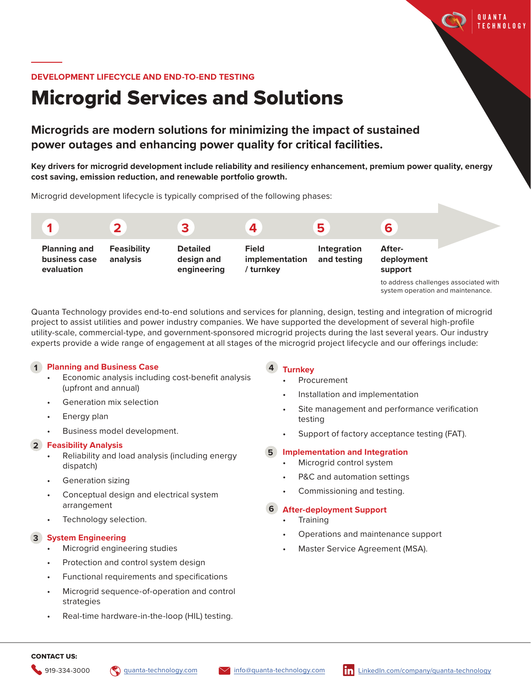#### **DEVELOPMENT LIFECYCLE AND END-TO-END TESTING**

# Microgrid Services and Solutions

# **Microgrids are modern solutions for minimizing the impact of sustained power outages and enhancing power quality for critical facilities.**

**Key drivers for microgrid development include reliability and resiliency enhancement, premium power quality, energy cost saving, emission reduction, and renewable portfolio growth.**

Microgrid development lifecycle is typically comprised of the following phases:



Quanta Technology provides end-to-end solutions and services for planning, design, testing and integration of microgrid project to assist utilities and power industry companies. We have supported the development of several high-profile utility-scale, commercial-type, and government-sponsored microgrid projects during the last several years. Our industry experts provide a wide range of engagement at all stages of the microgrid project lifecycle and our offerings include:

**4**

### **Planning and Business Case 1**

- Economic analysis including cost-benefit analysis (upfront and annual)
- Generation mix selection
- Energy plan
- Business model development.

#### **Feasibility Analysis 2**

- Reliability and load analysis (including energy dispatch)
- Generation sizing
- Conceptual design and electrical system arrangement
- Technology selection.

### **System Engineering 3**

- Microgrid engineering studies
- Protection and control system design
- Functional requirements and specifications
- Microgrid sequence-of-operation and control strategies
- Real-time hardware-in-the-loop (HIL) testing.

#### **Turnkey**

- **Procurement**
- Installation and implementation
- Site management and performance verification testing
- Support of factory acceptance testing (FAT).

## **Implementation and Integration 5**

- Microgrid control system
- P&C and automation settings
- Commissioning and testing.

#### **After-deployment Support 6**

- **Training**
- Operations and maintenance support
- Master Service Agreement (MSA).